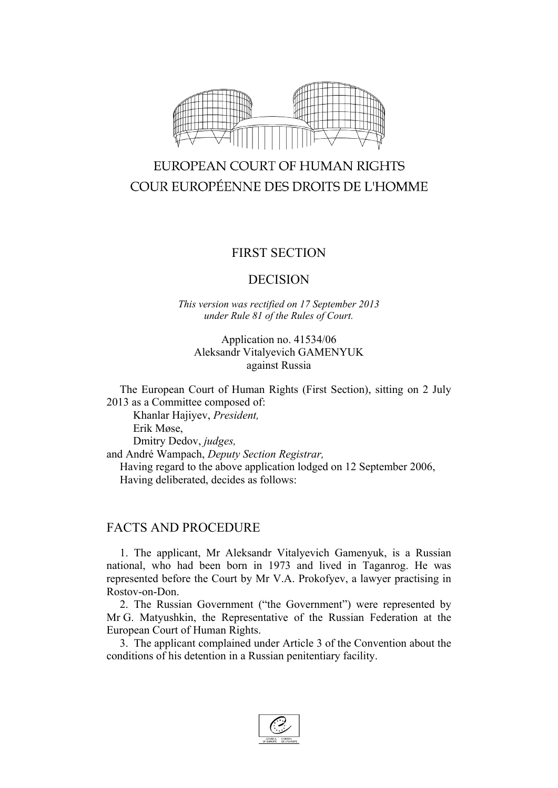

# EUROPEAN COURT OF HUMAN RIGHTS COUR EUROPÉENNE DES DROITS DE L'HOMME

## FIRST SECTION

### DECISION

*This version was rectified on 17 September 2013 under Rule 81 of the Rules of Court.*

#### Application no. 41534/06 Aleksandr Vitalyevich GAMENYUK against Russia

The European Court of Human Rights (First Section), sitting on 2 July 2013 as a Committee composed of:

Khanlar Hajiyev, *President,* Erik Møse, Dmitry Dedov, *judges,* and André Wampach, *Deputy Section Registrar,* Having regard to the above application lodged on 12 September 2006, Having deliberated, decides as follows:

## FACTS AND PROCEDURE

1. The applicant, Mr Aleksandr Vitalyevich Gamenyuk, is a Russian national, who had been born in 1973 and lived in Taganrog. He was represented before the Court by Mr V.A. Prokofyev, a lawyer practising in Rostov-on-Don.

2. The Russian Government ("the Government") were represented by Mr G. Matyushkin, the Representative of the Russian Federation at the European Court of Human Rights.

3. The applicant complained under Article 3 of the Convention about the conditions of his detention in a Russian penitentiary facility.